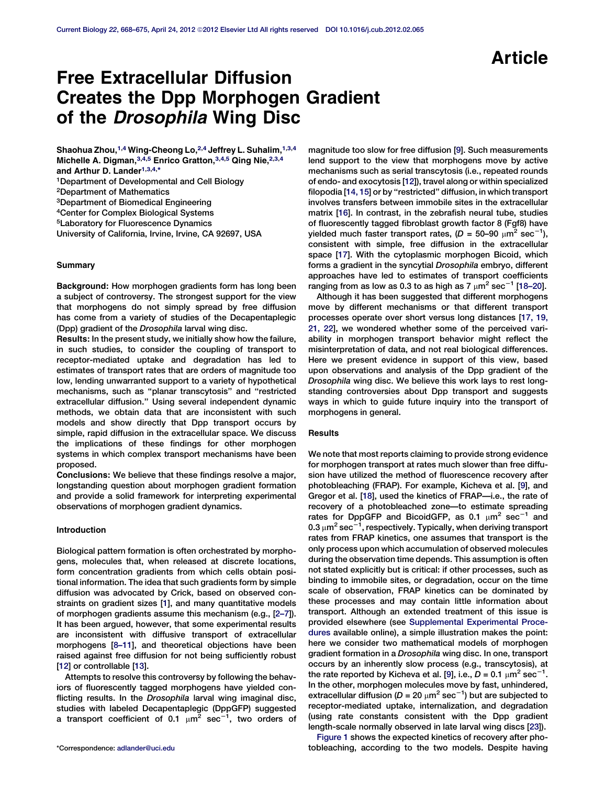# Free Extracellular Diffusion Creates the Dpp Morphogen Gradient of the *Drosophila* Wing Disc

Shaohua Zhou, $1,4$  Wing-Cheong Lo, $2,4$  Jeffrey L. Suhalim,  $1,3,4$ Michelle A. Digman, 3,4,5 Enrico Gratton, 3,4,5 Qing Nie, 2,3,4 and Arthur D. Lander<sup>1,3,4,\*</sup> 1Department of Developmental and Cell Biology 2Department of Mathematics

3Department of Biomedical Engineering

4Center for Complex Biological Systems

5Laboratory for Fluorescence Dynamics

University of California, Irvine, Irvine, CA 92697, USA

# **Summary**

Background: How morphogen gradients form has long been a subject of controversy. The strongest support for the view that morphogens do not simply spread by free diffusion has come from a variety of studies of the Decapentaplegic (Dpp) gradient of the Drosophila larval wing disc.

Results: In the present study, we initially show how the failure, in such studies, to consider the coupling of transport to receptor-mediated uptake and degradation has led to estimates of transport rates that are orders of magnitude too low, lending unwarranted support to a variety of hypothetical mechanisms, such as ''planar transcytosis'' and ''restricted extracellular diffusion.'' Using several independent dynamic methods, we obtain data that are inconsistent with such models and show directly that Dpp transport occurs by simple, rapid diffusion in the extracellular space. We discuss the implications of these findings for other morphogen systems in which complex transport mechanisms have been proposed.

Conclusions: We believe that these findings resolve a major, longstanding question about morphogen gradient formation and provide a solid framework for interpreting experimental observations of morphogen gradient dynamics.

## Introduction

Biological pattern formation is often orchestrated by morphogens, molecules that, when released at discrete locations, form concentration gradients from which cells obtain positional information. The idea that such gradients form by simple diffusion was advocated by Crick, based on observed constraints on gradient sizes [[1](#page-6-0)], and many quantitative models of morphogen gradients assume this mechanism (e.g., [[2–7](#page-6-0)]). It has been argued, however, that some experimental results are inconsistent with diffusive transport of extracellular morphogens [\[8–11\]](#page-6-0), and theoretical objections have been raised against free diffusion for not being sufficiently robust [[12](#page-6-0)] or controllable [\[13\]](#page-6-0).

Attempts to resolve this controversy by following the behaviors of fluorescently tagged morphogens have yielded conflicting results. In the Drosophila larval wing imaginal disc, studies with labeled Decapentaplegic (DppGFP) suggested a transport coefficient of 0.1  $\mu$ m<sup>2</sup> sec<sup>-1</sup>, two orders of

magnitude too slow for free diffusion [[9\]](#page-6-0). Such measurements lend support to the view that morphogens move by active mechanisms such as serial transcytosis (i.e., repeated rounds of endo- and exocytosis [[12](#page-6-0)]), travel along or within specialized filopodia [\[14, 15](#page-6-0)] or by ''restricted'' diffusion, in which transport involves transfers between immobile sites in the extracellular matrix [[16](#page-6-0)]. In contrast, in the zebrafish neural tube, studies of fluorescently tagged fibroblast growth factor 8 (Fgf8) have yielded much faster transport rates, (D = 50–90  $\mu$ m<sup>2</sup> sec<sup>-1</sup>), consistent with simple, free diffusion in the extracellular space [\[17\]](#page-6-0). With the cytoplasmic morphogen Bicoid, which forms a gradient in the syncytial Drosophila embryo, different approaches have led to estimates of transport coefficients ranging from as low as 0.3 to as high as 7  $\mu$ m<sup>2</sup> sec<sup>-1</sup> [[18–20\]](#page-6-0).

Although it has been suggested that different morphogens move by different mechanisms or that different transport processes operate over short versus long distances [\[17, 19,](#page-6-0) [21, 22](#page-6-0)], we wondered whether some of the perceived variability in morphogen transport behavior might reflect the misinterpretation of data, and not real biological differences. Here we present evidence in support of this view, based upon observations and analysis of the Dpp gradient of the Drosophila wing disc. We believe this work lays to rest longstanding controversies about Dpp transport and suggests ways in which to guide future inquiry into the transport of morphogens in general.

#### **Results**

We note that most reports claiming to provide strong evidence for morphogen transport at rates much slower than free diffusion have utilized the method of fluorescence recovery after photobleaching (FRAP). For example, Kicheva et al. [\[9\]](#page-6-0), and Gregor et al. [[18](#page-6-0)], used the kinetics of FRAP—i.e., the rate of recovery of a photobleached zone—to estimate spreading rates for DppGFP and BicoidGFP, as 0.1  $\mu$ m<sup>2</sup> sec<sup>-1</sup> and 0.3  $\mu$ m $^{2}$  sec $^{-1}$ , respectively. Typically, when deriving transport rates from FRAP kinetics, one assumes that transport is the only process upon which accumulation of observed molecules during the observation time depends. This assumption is often not stated explicitly but is critical: if other processes, such as binding to immobile sites, or degradation, occur on the time scale of observation, FRAP kinetics can be dominated by these processes and may contain little information about transport. Although an extended treatment of this issue is provided elsewhere (see [Supplemental Experimental Proce](#page-6-0)[dures](#page-6-0) available online), a simple illustration makes the point: here we consider two mathematical models of morphogen gradient formation in a Drosophila wing disc. In one, transport occurs by an inherently slow process (e.g., transcytosis), at the rate reported by Kicheva et al. [\[9\]](#page-6-0), i.e.,  $D = 0.1 \mu m^2 sec^{-1}$ . In the other, morphogen molecules move by fast, unhindered, extracellular diffusion (D = 20  $\mu$ m<sup>2</sup> sec<sup>-1</sup>) but are subjected to receptor-mediated uptake, internalization, and degradation (using rate constants consistent with the Dpp gradient length-scale normally observed in late larval wing discs [\[23\]](#page-6-0)).

[Figure 1](#page-1-0) shows the expected kinetics of recovery after pho- \*Correspondence: [adlander@uci.edu](mailto:adlander@uci.edu) tobleaching, according to the two models. Despite having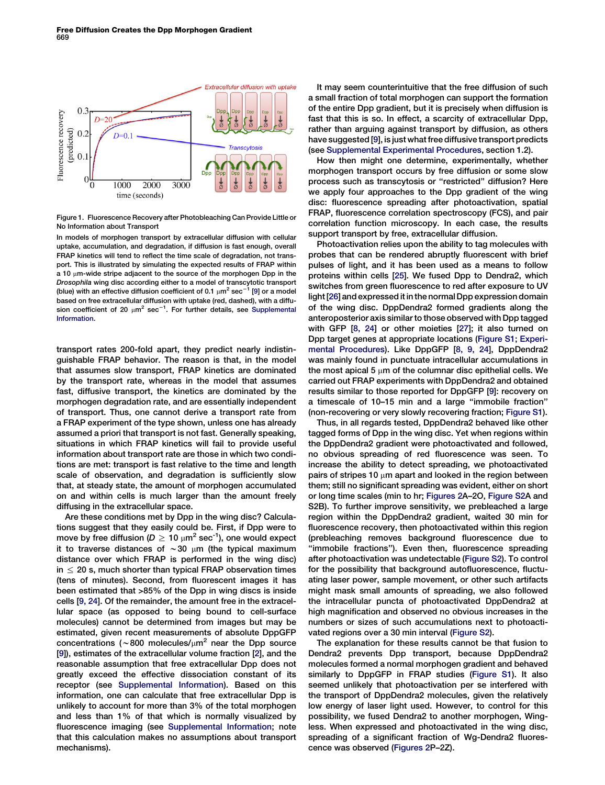<span id="page-1-0"></span>

Figure 1. Fluorescence Recovery after Photobleaching Can Provide Little or No Information about Transport

In models of morphogen transport by extracellular diffusion with cellular uptake, accumulation, and degradation, if diffusion is fast enough, overall FRAP kinetics will tend to reflect the time scale of degradation, not transport. This is illustrated by simulating the expected results of FRAP within a 10  $\mu$ m-wide stripe adjacent to the source of the morphogen Dpp in the Drosophila wing disc according either to a model of transcytotic transport (blue) with an effective diffusion coefficient of 0.1  $\mu$ m<sup>2</sup> sec<sup>-1</sup> [\[9](#page-6-0)] or a model based on free extracellular diffusion with uptake (red, dashed), with a diffusion coefficient of 20  $\mu$ m<sup>2</sup> sec<sup>-1</sup>. For further details, see [Supplemental](#page-6-0) [Information](#page-6-0).

transport rates 200-fold apart, they predict nearly indistinguishable FRAP behavior. The reason is that, in the model that assumes slow transport, FRAP kinetics are dominated by the transport rate, whereas in the model that assumes fast, diffusive transport, the kinetics are dominated by the morphogen degradation rate, and are essentially independent of transport. Thus, one cannot derive a transport rate from a FRAP experiment of the type shown, unless one has already assumed a priori that transport is not fast. Generally speaking, situations in which FRAP kinetics will fail to provide useful information about transport rate are those in which two conditions are met: transport is fast relative to the time and length scale of observation, and degradation is sufficiently slow that, at steady state, the amount of morphogen accumulated on and within cells is much larger than the amount freely diffusing in the extracellular space.

Are these conditions met by Dpp in the wing disc? Calculations suggest that they easily could be. First, if Dpp were to move by free diffusion ( $D \ge 10 \mu m^2$  sec<sup>-1</sup>), one would expect it to traverse distances of  $\sim$  30  $\mu$ m (the typical maximum distance over which FRAP is performed in the wing disc)  $in \leq 20$  s, much shorter than typical FRAP observation times (tens of minutes). Second, from fluorescent images it has been estimated that >85% of the Dpp in wing discs is inside cells [[9, 24](#page-6-0)]. Of the remainder, the amount free in the extracellular space (as opposed to being bound to cell-surface molecules) cannot be determined from images but may be estimated, given recent measurements of absolute DppGFP concentrations ( $\sim$ 800 molecules/ $\mu$ m<sup>2</sup> near the Dpp source [[9\]](#page-6-0)), estimates of the extracellular volume fraction [\[2\]](#page-6-0), and the reasonable assumption that free extracellular Dpp does not greatly exceed the effective dissociation constant of its receptor (see [Supplemental Information](#page-6-0)). Based on this information, one can calculate that free extracellular Dpp is unlikely to account for more than 3% of the total morphogen and less than 1% of that which is normally visualized by fluorescence imaging (see [Supplemental Information](#page-6-0); note that this calculation makes no assumptions about transport mechanisms).

It may seem counterintuitive that the free diffusion of such a small fraction of total morphogen can support the formation of the entire Dpp gradient, but it is precisely when diffusion is fast that this is so. In effect, a scarcity of extracellular Dpp, rather than arguing against transport by diffusion, as others have suggested [\[9](#page-6-0)], is just what free diffusive transport predicts (see [Supplemental Experimental Procedures](#page-6-0), section 1.2).

How then might one determine, experimentally, whether morphogen transport occurs by free diffusion or some slow process such as transcytosis or ''restricted'' diffusion? Here we apply four approaches to the Dpp gradient of the wing disc: fluorescence spreading after photoactivation, spatial FRAP, fluorescence correlation spectroscopy (FCS), and pair correlation function microscopy. In each case, the results support transport by free, extracellular diffusion.

Photoactivation relies upon the ability to tag molecules with probes that can be rendered abruptly fluorescent with brief pulses of light, and it has been used as a means to follow proteins within cells [[25\]](#page-6-0). We fused Dpp to Dendra2, which switches from green fluorescence to red after exposure to UV light [\[26](#page-6-0)] and expressed it in the normal Dpp expression domain of the wing disc. DppDendra2 formed gradients along the anteroposterior axis similar to those observed with Dpp tagged with GFP [\[8, 24](#page-6-0)] or other moieties [[27](#page-6-0)]; it also turned on Dpp target genes at appropriate locations [\(Figure S1;](#page-6-0) [Experi](#page-5-0)[mental Procedures\)](#page-5-0). Like DppGFP [[8, 9, 24](#page-6-0)], DppDendra2 was mainly found in punctuate intracellular accumulations in the most apical 5  $\mu$ m of the columnar disc epithelial cells. We carried out FRAP experiments with DppDendra2 and obtained results similar to those reported for DppGFP [[9\]](#page-6-0): recovery on a timescale of 10–15 min and a large ''immobile fraction'' (non-recovering or very slowly recovering fraction; [Figure S1](#page-6-0)).

Thus, in all regards tested, DppDendra2 behaved like other tagged forms of Dpp in the wing disc. Yet when regions within the DppDendra2 gradient were photoactivated and followed, no obvious spreading of red fluorescence was seen. To increase the ability to detect spreading, we photoactivated pairs of stripes 10  $\mu$ m apart and looked in the region between them; still no significant spreading was evident, either on short or long time scales (min to hr; [Figures 2](#page-2-0)A–2O, [Figure S2A](#page-6-0) and S2B). To further improve sensitivity, we prebleached a large region within the DppDendra2 gradient, waited 30 min for fluorescence recovery, then photoactivated within this region (prebleaching removes background fluorescence due to "immobile fractions"). Even then, fluorescence spreading after photoactivation was undetectable ([Figure S2](#page-6-0)). To control for the possibility that background autofluorescence, fluctuating laser power, sample movement, or other such artifacts might mask small amounts of spreading, we also followed the intracellular puncta of photoactivated DppDendra2 at high magnification and observed no obvious increases in the numbers or sizes of such accumulations next to photoactivated regions over a 30 min interval [\(Figure S2](#page-6-0)).

The explanation for these results cannot be that fusion to Dendra2 prevents Dpp transport, because DppDendra2 molecules formed a normal morphogen gradient and behaved similarly to DppGFP in FRAP studies ([Figure S1\)](#page-6-0). It also seemed unlikely that photoactivation per se interfered with the transport of DppDendra2 molecules, given the relatively low energy of laser light used. However, to control for this possibility, we fused Dendra2 to another morphogen, Wingless. When expressed and photoactivated in the wing disc, spreading of a significant fraction of Wg-Dendra2 fluorescence was observed ([Figures 2P](#page-2-0)–2Z).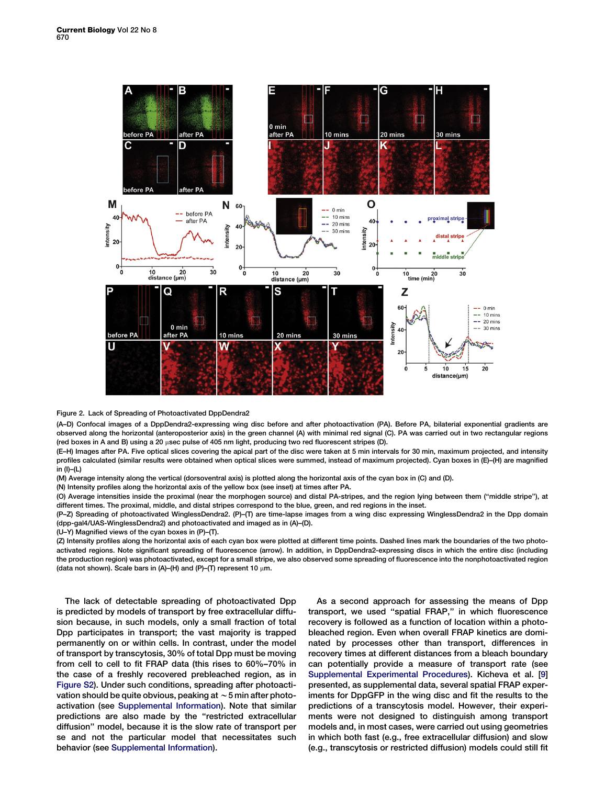<span id="page-2-0"></span>

# Figure 2. Lack of Spreading of Photoactivated DppDendra2

(A–D) Confocal images of a DppDendra2-expressing wing disc before and after photoactivation (PA). Before PA, bilaterial exponential gradients are observed along the horizontal (anteroposterior axis) in the green channel (A) with minimal red signal (C). PA was carried out in two rectangular regions (red boxes in A and B) using a 20 µsec pulse of 405 nm light, producing two red fluorescent stripes (D).

(E–H) Images after PA. Five optical slices covering the apical part of the disc were taken at 5 min intervals for 30 min, maximum projected, and intensity profiles calculated (similar results were obtained when optical slices were summed, instead of maximum projected). Cyan boxes in (E)–(H) are magnified in (I)–(L)

(M) Average intensity along the vertical (dorsoventral axis) is plotted along the horizontal axis of the cyan box in (C) and (D).

(N) Intensity profiles along the horizontal axis of the yellow box (see inset) at times after PA.

(O) Average intensities inside the proximal (near the morphogen source) and distal PA-stripes, and the region lying between them (''middle stripe''), at different times. The proximal, middle, and distal stripes correspond to the blue, green, and red regions in the inset.

(P–Z) Spreading of photoactivated WinglessDendra2. (P)–(T) are time-lapse images from a wing disc expressing WinglessDendra2 in the Dpp domain (dpp-gal4/UAS-WinglessDendra2) and photoactivated and imaged as in (A)–(D).

(U–Y) Magnified views of the cyan boxes in (P)–(T).

(Z) Intensity profiles along the horizontal axis of each cyan box were plotted at different time points. Dashed lines mark the boundaries of the two photoactivated regions. Note significant spreading of fluorescence (arrow). In addition, in DppDendra2-expressing discs in which the entire disc (including the production region) was photoactivated, except for a small stripe, we also observed some spreading of fluorescence into the nonphotoactivated region (data not shown). Scale bars in (A)–(H) and (P)–(T) represent 10  $\mu$ m.

The lack of detectable spreading of photoactivated Dpp is predicted by models of transport by free extracellular diffusion because, in such models, only a small fraction of total Dpp participates in transport; the vast majority is trapped permanently on or within cells. In contrast, under the model of transport by transcytosis, 30% of total Dpp must be moving from cell to cell to fit FRAP data (this rises to 60%–70% in the case of a freshly recovered prebleached region, as in [Figure S2](#page-6-0)). Under such conditions, spreading after photoactivation should be quite obvious, peaking at  $\sim$  5 min after photoactivation (see [Supplemental Information](#page-6-0)). Note that similar predictions are also made by the "restricted extracellular diffusion'' model, because it is the slow rate of transport per se and not the particular model that necessitates such behavior (see [Supplemental Information](#page-6-0)).

As a second approach for assessing the means of Dpp transport, we used ''spatial FRAP,'' in which fluorescence recovery is followed as a function of location within a photobleached region. Even when overall FRAP kinetics are dominated by processes other than transport, differences in recovery times at different distances from a bleach boundary can potentially provide a measure of transport rate (see [Supplemental Experimental Procedures\)](#page-6-0). Kicheva et al. [\[9](#page-6-0)] presented, as supplemental data, several spatial FRAP experiments for DppGFP in the wing disc and fit the results to the predictions of a transcytosis model. However, their experiments were not designed to distinguish among transport models and, in most cases, were carried out using geometries in which both fast (e.g., free extracellular diffusion) and slow (e.g., transcytosis or restricted diffusion) models could still fit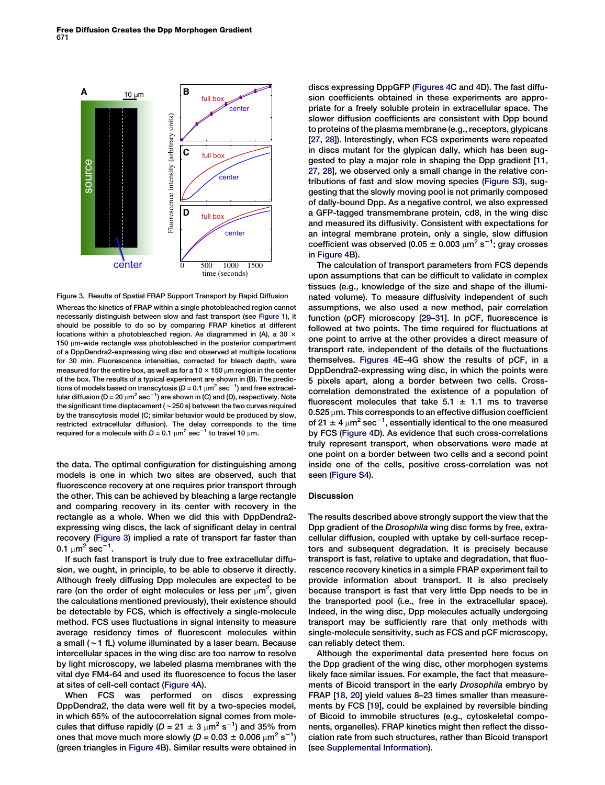

Figure 3. Results of Spatial FRAP Support Transport by Rapid Diffusion

Whereas the kinetics of FRAP within a single photobleached region cannot necessarily distinguish between slow and fast transport (see [Figure 1\)](#page-1-0), it should be possible to do so by comparing FRAP kinetics at different locations within a photobleached region. As diagrammed in (A), a 30  $\times$  $150 \mu m$ -wide rectangle was photobleached in the posterior compartment of a DppDendra2-expressing wing disc and observed at multiple locations for 30 min. Fluorescence intensities, corrected for bleach depth, were measured for the entire box, as well as for a 10  $\times$  150  $\mu$ m region in the center of the box. The results of a typical experiment are shown in (B). The predictions of models based on transcytosis (D = 0.1  $\mu$ m $^{2}$  sec $^{-1}$ ) and free extracellular diffusion (D = 20  $\mu$ m $^{2}$  sec $^{-1}$ ) are shown in (C) and (D), respectively. Note the significant time displacement ( $\sim$  250 s) between the two curves required by the transcytosis model (C; similar behavior would be produced by slow, restricted extracellular diffusion). The delay corresponds to the time required for a molecule with  $D = 0.1 \mu m^2 \text{ sec}^{-1}$  to travel 10  $\mu$ m.

the data. The optimal configuration for distinguishing among models is one in which two sites are observed, such that fluorescence recovery at one requires prior transport through the other. This can be achieved by bleaching a large rectangle and comparing recovery in its center with recovery in the rectangle as a whole. When we did this with DppDendra2 expressing wing discs, the lack of significant delay in central recovery (Figure 3) implied a rate of transport far faster than 0.1  $\mu$ m<sup>2</sup> sec<sup>-1</sup>.

If such fast transport is truly due to free extracellular diffusion, we ought, in principle, to be able to observe it directly. Although freely diffusing Dpp molecules are expected to be rare (on the order of eight molecules or less per  $\mu$ m<sup>2</sup>, given the calculations mentioned previously), their existence should be detectable by FCS, which is effectively a single-molecule method. FCS uses fluctuations in signal intensity to measure average residency times of fluorescent molecules within a small  $(-1$  fL) volume illuminated by a laser beam. Because intercellular spaces in the wing disc are too narrow to resolve by light microscopy, we labeled plasma membranes with the vital dye FM4-64 and used its fluorescence to focus the laser at sites of cell-cell contact ([Figure 4](#page-4-0)A).

When FCS was performed on discs expressing DppDendra2, the data were well fit by a two-species model, in which 65% of the autocorrelation signal comes from molecules that diffuse rapidly (D = 21  $\pm$  3  $\mu$ m<sup>2</sup> s<sup>-1</sup>) and 35% from ones that move much more slowly (D = 0.03  $\pm$  0.006  $\mu$ m<sup>2</sup> s<sup>-1</sup>) (green triangles in [Figure 4B](#page-4-0)). Similar results were obtained in

discs expressing DppGFP ([Figures 4C](#page-4-0) and 4D). The fast diffusion coefficients obtained in these experiments are appropriate for a freely soluble protein in extracellular space. The slower diffusion coefficients are consistent with Dpp bound to proteins of the plasma membrane (e.g., receptors, glypicans [[27, 28\]](#page-6-0)). Interestingly, when FCS experiments were repeated in discs mutant for the glypican dally, which has been suggested to play a major role in shaping the Dpp gradient [[11,](#page-6-0) [27, 28](#page-6-0)], we observed only a small change in the relative contributions of fast and slow moving species [\(Figure S3](#page-6-0)), suggesting that the slowly moving pool is not primarily composed of dally-bound Dpp. As a negative control, we also expressed a GFP-tagged transmembrane protein, cd8, in the wing disc and measured its diffusivity. Consistent with expectations for an integral membrane protein, only a single, slow diffusion coefficient was observed (0.05  $\pm$  0.003  $\mu$ m $^{2}$  s $^{-1}$ ; gray crosses in [Figure 4](#page-4-0)B).

The calculation of transport parameters from FCS depends upon assumptions that can be difficult to validate in complex tissues (e.g., knowledge of the size and shape of the illuminated volume). To measure diffusivity independent of such assumptions, we also used a new method, pair correlation function (pCF) microscopy [\[29–31](#page-6-0)]. In pCF, fluorescence is followed at two points. The time required for fluctuations at one point to arrive at the other provides a direct measure of transport rate, independent of the details of the fluctuations themselves. [Figures 4E](#page-4-0)–4G show the results of pCF, in a DppDendra2-expressing wing disc, in which the points were 5 pixels apart, along a border between two cells. Crosscorrelation demonstrated the existence of a population of fluorescent molecules that take  $5.1 \pm 1.1$  ms to traverse  $0.525 \mu m$ . This corresponds to an effective diffusion coefficient of 21  $\pm$  4  $\mu$ m $^{2}$  sec $^{-1}$ , essentially identical to the one measured by FCS [\(Figure 4D](#page-4-0)). As evidence that such cross-correlations truly represent transport, when observations were made at one point on a border between two cells and a second point inside one of the cells, positive cross-correlation was not seen ([Figure S4\)](#page-6-0).

# Discussion

The results described above strongly support the view that the Dpp gradient of the Drosophila wing disc forms by free, extracellular diffusion, coupled with uptake by cell-surface receptors and subsequent degradation. It is precisely because transport is fast, relative to uptake and degradation, that fluorescence recovery kinetics in a simple FRAP experiment fail to provide information about transport. It is also precisely because transport is fast that very little Dpp needs to be in the transported pool (i.e., free in the extracellular space). Indeed, in the wing disc, Dpp molecules actually undergoing transport may be sufficiently rare that only methods with single-molecule sensitivity, such as FCS and pCF microscopy, can reliably detect them.

Although the experimental data presented here focus on the Dpp gradient of the wing disc, other morphogen systems likely face similar issues. For example, the fact that measurements of Bicoid transport in the early Drosophila embryo by FRAP [\[18, 20\]](#page-6-0) yield values 8–23 times smaller than measurements by FCS [[19](#page-6-0)], could be explained by reversible binding of Bicoid to immobile structures (e.g., cytoskeletal components, organelles). FRAP kinetics might then reflect the dissociation rate from such structures, rather than Bicoid transport (see [Supplemental Information](#page-6-0)).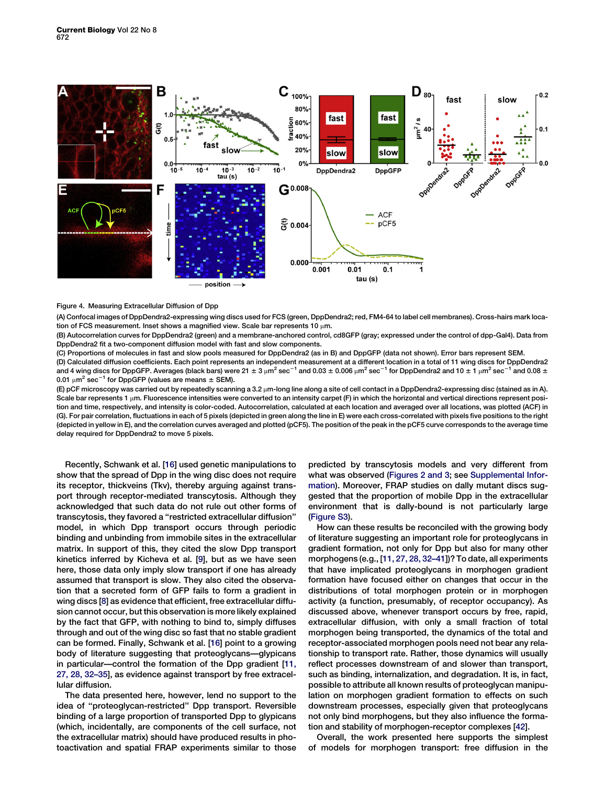<span id="page-4-0"></span>

# Figure 4. Measuring Extracellular Diffusion of Dpp

(A) Confocal images of DppDendra2-expressing wing discs used for FCS (green, DppDendra2; red, FM4-64 to label cell membranes). Cross-hairs mark location of FCS measurement. Inset shows a magnified view. Scale bar represents 10  $\mu$ m.

(B) Autocorrelation curves for DppDendra2 (green) and a membrane-anchored control, cd8GFP (gray; expressed under the control of dpp-Gal4). Data from DppDendra2 fit a two-component diffusion model with fast and slow components.

(C) Proportions of molecules in fast and slow pools measured for DppDendra2 (as in B) and DppGFP (data not shown). Error bars represent SEM.

(D) Calculated diffusion coefficients. Each point represents an independent measurement at a different location in a total of 11 wing discs for DppDendra2 and 4 wing discs for DppGFP. Averages (black bars) were 21  $\pm 3 \mu m^2$  sec<sup>-1</sup> and 0.03  $\pm 0.006 \mu m^2$  sec<sup>-1</sup> for DppDendra2 and 10  $\pm 1 \mu m^2$  sec<sup>-1</sup> and 0.08  $\pm$ 0.01  $\mu$ m<sup>2</sup> sec<sup>-1</sup> for DppGFP (values are means  $\pm$  SEM).

(E) pCF microscopy was carried out by repeatedly scanning a 3.2 µm-long line along a site of cell contact in a DppDendra2-expressing disc (stained as in A). Scale bar represents 1 um. Fluorescence intensities were converted to an intensity carpet (F) in which the horizontal and vertical directions represent position and time, respectively, and intensity is color-coded. Autocorrelation, calculated at each location and averaged over all locations, was plotted (ACF) in (G). For pair correlation, fluctuations in each of 5 pixels (depicted in green along the line in E) were each cross-correlated with pixels five positions to the right (depicted in yellow in E), and the correlation curves averaged and plotted (pCF5). The position of the peak in the pCF5 curve corresponds to the average time delay required for DppDendra2 to move 5 pixels.

Recently, Schwank et al. [[16\]](#page-6-0) used genetic manipulations to show that the spread of Dpp in the wing disc does not require its receptor, thickveins (Tkv), thereby arguing against transport through receptor-mediated transcytosis. Although they acknowledged that such data do not rule out other forms of transcytosis, they favored a ''restricted extracellular diffusion'' model, in which Dpp transport occurs through periodic binding and unbinding from immobile sites in the extracellular matrix. In support of this, they cited the slow Dpp transport kinetics inferred by Kicheva et al. [[9](#page-6-0)], but as we have seen here, those data only imply slow transport if one has already assumed that transport is slow. They also cited the observation that a secreted form of GFP fails to form a gradient in wing discs [\[8\]](#page-6-0) as evidence that efficient, free extracellular diffusion cannot occur, but this observation is more likely explained by the fact that GFP, with nothing to bind to, simply diffuses through and out of the wing disc so fast that no stable gradient can be formed. Finally, Schwank et al. [[16](#page-6-0)] point to a growing body of literature suggesting that proteoglycans—glypicans in particular—control the formation of the Dpp gradient [[11,](#page-6-0) [27, 28, 32–35](#page-6-0)], as evidence against transport by free extracellular diffusion.

The data presented here, however, lend no support to the idea of ''proteoglycan-restricted'' Dpp transport. Reversible binding of a large proportion of transported Dpp to glypicans (which, incidentally, are components of the cell surface, not the extracellular matrix) should have produced results in photoactivation and spatial FRAP experiments similar to those predicted by transcytosis models and very different from what was observed [\(Figures 2 and 3](#page-2-0); see [Supplemental Infor](#page-6-0)[mation](#page-6-0)). Moreover, FRAP studies on dally mutant discs suggested that the proportion of mobile Dpp in the extracellular environment that is dally-bound is not particularly large ([Figure S3](#page-6-0)).

How can these results be reconciled with the growing body of literature suggesting an important role for proteoglycans in gradient formation, not only for Dpp but also for many other morphogens (e.g., [[11, 27, 28, 32–41](#page-6-0)])? To date, all experiments that have implicated proteoglycans in morphogen gradient formation have focused either on changes that occur in the distributions of total morphogen protein or in morphogen activity (a function, presumably, of receptor occupancy). As discussed above, whenever transport occurs by free, rapid, extracellular diffusion, with only a small fraction of total morphogen being transported, the dynamics of the total and receptor-associated morphogen pools need not bear any relationship to transport rate. Rather, those dynamics will usually reflect processes downstream of and slower than transport, such as binding, internalization, and degradation. It is, in fact, possible to attribute all known results of proteoglycan manipulation on morphogen gradient formation to effects on such downstream processes, especially given that proteoglycans not only bind morphogens, but they also influence the formation and stability of morphogen-receptor complexes [\[42\]](#page-6-0).

Overall, the work presented here supports the simplest of models for morphogen transport: free diffusion in the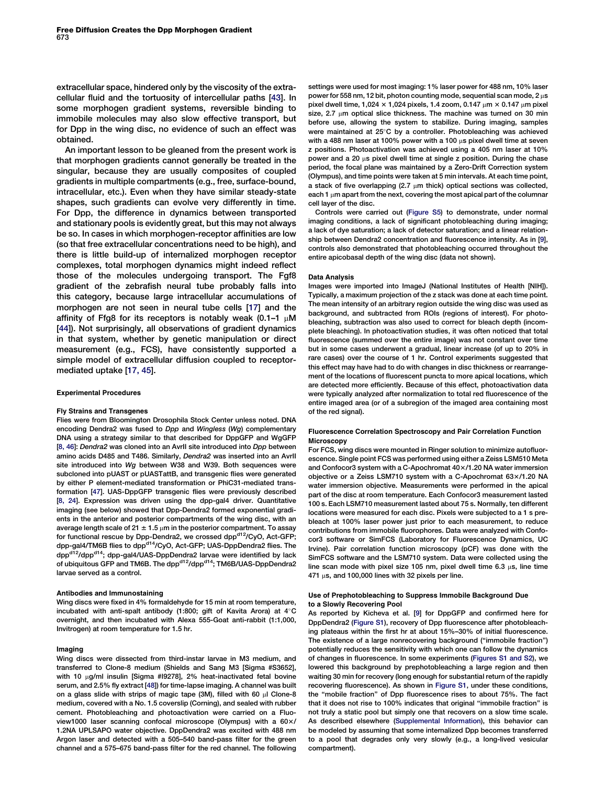<span id="page-5-0"></span>extracellular space, hindered only by the viscosity of the extracellular fluid and the tortuosity of intercellular paths [[43\]](#page-7-0). In some morphogen gradient systems, reversible binding to immobile molecules may also slow effective transport, but for Dpp in the wing disc, no evidence of such an effect was obtained.

An important lesson to be gleaned from the present work is that morphogen gradients cannot generally be treated in the singular, because they are usually composites of coupled gradients in multiple compartments (e.g., free, surface-bound, intracellular, etc.). Even when they have similar steady-state shapes, such gradients can evolve very differently in time. For Dpp, the difference in dynamics between transported and stationary pools is evidently great, but this may not always be so. In cases in which morphogen-receptor affinities are low (so that free extracellular concentrations need to be high), and there is little build-up of internalized morphogen receptor complexes, total morphogen dynamics might indeed reflect those of the molecules undergoing transport. The Fgf8 gradient of the zebrafish neural tube probably falls into this category, because large intracellular accumulations of morphogen are not seen in neural tube cells [\[17](#page-6-0)] and the affinity of Ffg8 for its receptors is notably weak (0.1–1  $\mu$ M [[44](#page-7-0)]). Not surprisingly, all observations of gradient dynamics in that system, whether by genetic manipulation or direct measurement (e.g., FCS), have consistently supported a simple model of extracellular diffusion coupled to receptormediated uptake [\[17, 45\]](#page-6-0).

# Experimental Procedures

#### Fly Strains and Transgenes

Flies were from Bloomington Drosophila Stock Center unless noted. DNA encoding Dendra2 was fused to Dpp and Wingless (Wg) complementary DNA using a strategy similar to that described for DppGFP and WgGFP [\[8, 46\]](#page-6-0): Dendra2 was cloned into an AvrII site introduced into Dpp between amino acids D485 and T486. Similarly, Dendra2 was inserted into an Avrll site introduced into Wg between W38 and W39. Both sequences were subcloned into pUAST or pUASTattB, and transgenic flies were generated by either P element-mediated transformation or PhiC31-mediated transformation [[47](#page-7-0)]. UAS-DppGFP transgenic flies were previously described [\[8, 24\]](#page-6-0). Expression was driven using the dpp-gal4 driver. Quantitative imaging (see below) showed that Dpp-Dendra2 formed exponential gradients in the anterior and posterior compartments of the wing disc, with an average length scale of 21  $\pm$  1.5  $\mu$ m in the posterior compartment. To assay for functional rescue by Dpp-Dendra2, we crossed dpp<sup>d12</sup>/CyO, Act-GFP; dpp-gal4/TM6B flies to dpp<sup>d14</sup>/CyO, Act-GFP; UAS-DppDendra2 flies. The dpp<sup>d12</sup>/dpp<sup>d14</sup>; dpp-gal4/UAS-DppDendra2 larvae were identified by lack of ubiquitous GFP and TM6B. The dpp<sup>d12</sup>/dpp<sup>d14</sup>; TM6B/UAS-DppDendra2 larvae served as a control.

## Antibodies and Immunostaining

Wing discs were fixed in 4% formaldehyde for 15 min at room temperature, incubated with anti-spalt antibody (1:800; gift of Kavita Arora) at  $4^{\circ}$ C overnight, and then incubated with Alexa 555-Goat anti-rabbit (1:1,000, Invitrogen) at room temperature for 1.5 hr.

#### Imaging

Wing discs were dissected from third-instar larvae in M3 medium, and transferred to Clone-8 medium (Shields and Sang M3 [Sigma #S3652], with 10  $\mu$ g/ml insulin [Sigma #19278], 2% heat-inactivated fetal bovine serum, and 2.5% fly extract [\[48](#page-7-0)]) for time-lapse imaging. A channel was built on a glass slide with strips of magic tape (3M), filled with 60  $\mu$ I Clone-8 medium, covered with a No. 1.5 coverslip (Corning), and sealed with rubber cement. Photobleaching and photoactivation were carried on a Fluoview1000 laser scanning confocal microscope (Olympus) with a  $60\times$ / 1.2NA UPLSAPO water objective. DppDendra2 was excited with 488 nm Argon laser and detected with a 505–540 band-pass filter for the green channel and a 575–675 band-pass filter for the red channel. The following

settings were used for most imaging: 1% laser power for 488 nm, 10% laser power for 558 nm, 12 bit, photon counting mode, sequential scan mode,  $2 \mu s$ pixel dwell time, 1,024  $\times$  1,024 pixels, 1.4 zoom, 0.147  $\mu$ m  $\times$  0.147  $\mu$ m pixel size, 2.7 um optical slice thickness. The machine was turned on 30 min before use, allowing the system to stabilize. During imaging, samples were maintained at 25°C by a controller. Photobleaching was achieved with a 488 nm laser at 100% power with a 100  $\mu$ s pixel dwell time at seven z positions. Photoactivation was achieved using a 405 nm laser at 10% power and a 20  $\mu$ s pixel dwell time at single z position. During the chase period, the focal plane was maintained by a Zero-Drift Correction system (Olympus), and time points were taken at 5 min intervals. At each time point, a stack of five overlapping (2.7  $\mu$ m thick) optical sections was collected, each 1  $\mu$ m apart from the next, covering the most apical part of the columnar cell layer of the disc.

Controls were carried out [\(Figure S5\)](#page-6-0) to demonstrate, under normal imaging conditions, a lack of significant photobleaching during imaging; a lack of dye saturation; a lack of detector saturation; and a linear relationship between Dendra2 concentration and fluorescence intensity. As in [[9\]](#page-6-0), controls also demonstrated that photobleaching occurred throughout the entire apicobasal depth of the wing disc (data not shown).

## Data Analysis

Images were imported into ImageJ (National Institutes of Health [NIH]). Typically, a maximum projection of the z stack was done at each time point. The mean intensity of an arbitrary region outside the wing disc was used as background, and subtracted from ROIs (regions of interest). For photobleaching, subtraction was also used to correct for bleach depth (incomplete bleaching). In photoactivation studies, it was often noticed that total fluorescence (summed over the entire image) was not constant over time but in some cases underwent a gradual, linear increase (of up to 20% in rare cases) over the course of 1 hr. Control experiments suggested that this effect may have had to do with changes in disc thickness or rearrangement of the locations of fluorescent puncta to more apical locations, which are detected more efficiently. Because of this effect, photoactivation data were typically analyzed after normalization to total red fluorescence of the entire imaged area (or of a subregion of the imaged area containing most of the red signal).

## Fluorescence Correlation Spectroscopy and Pair Correlation Function **Microscopy**

For FCS, wing discs were mounted in Ringer solution to minimize autofluorescence. Single point FCS was performed using either a Zeiss LSM510 Meta and Confocor3 system with a C-Apochromat 40×/1.20 NA water immersion objective or a Zeiss LSM710 system with a C-Apochromat  $63\times/1.20$  NA water immersion objective. Measurements were performed in the apical part of the disc at room temperature. Each Confocor3 measurement lasted 100 s. Each LSM710 measurement lasted about 75 s. Normally, ten different locations were measured for each disc. Pixels were subjected to a 1 s prebleach at 100% laser power just prior to each measurement, to reduce contributions from immobile fluorophores. Data were analyzed with Confocor3 software or SimFCS (Laboratory for Fluorescence Dynamics, UC Irvine). Pair correlation function microscopy (pCF) was done with the SimFCS software and the LSM710 system. Data were collected using the line scan mode with pixel size 105 nm, pixel dwell time 6.3  $\mu$ s, line time  $471 \mu s$ , and 100,000 lines with 32 pixels per line.

## Use of Prephotobleaching to Suppress Immobile Background Due to a Slowly Recovering Pool

As reported by Kicheva et al. [[9](#page-6-0)] for DppGFP and confirmed here for DppDendra2 [\(Figure S1](#page-6-0)), recovery of Dpp fluorescence after photobleaching plateaus within the first hr at about 15%–30% of initial fluorescence. The existence of a large nonrecovering background (''immobile fraction'') potentially reduces the sensitivity with which one can follow the dynamics of changes in fluorescence. In some experiments ([Figures S1 and S2](#page-6-0)), we lowered this background by prephotobleaching a large region and then waiting 30 min for recovery (long enough for substantial return of the rapidly recovering fluorescence). As shown in [Figure S1](#page-6-0), under these conditions, the ''mobile fraction'' of Dpp fluorescence rises to about 75%. The fact that it does not rise to 100% indicates that original ''immobile fraction'' is not truly a static pool but simply one that recovers on a slow time scale. As described elsewhere [\(Supplemental Information\)](#page-6-0), this behavior can be modeled by assuming that some internalized Dpp becomes transferred to a pool that degrades only very slowly (e.g., a long-lived vesicular compartment).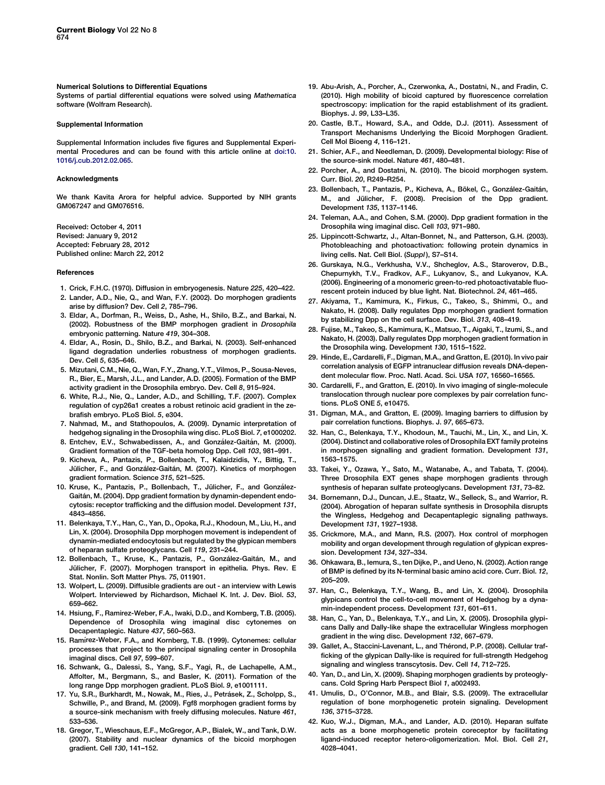## <span id="page-6-0"></span>Numerical Solutions to Differential Equations

Systems of partial differential equations were solved using Mathematica software (Wolfram Research).

## Supplemental Information

Supplemental Information includes five figures and Supplemental Experimental Procedures and can be found with this article online at [doi:10.](http://dx.doi.org/doi:10.1016/j.cub.2012.02.065) [1016/j.cub.2012.02.065.](http://dx.doi.org/doi:10.1016/j.cub.2012.02.065)

## Acknowledgments

We thank Kavita Arora for helpful advice. Supported by NIH grants GM067247 and GM076516.

Received: October 4, 2011 Revised: January 9, 2012 Accepted: February 28, 2012 Published online: March 22, 2012

#### References

- 1. Crick, F.H.C. (1970). Diffusion in embryogenesis. Nature 225, 420–422.
- 2. Lander, A.D., Nie, Q., and Wan, F.Y. (2002). Do morphogen gradients arise by diffusion? Dev. Cell 2, 785–796.
- 3. Eldar, A., Dorfman, R., Weiss, D., Ashe, H., Shilo, B.Z., and Barkai, N. (2002). Robustness of the BMP morphogen gradient in Drosophila embryonic patterning. Nature 419, 304–308.
- 4. Eldar, A., Rosin, D., Shilo, B.Z., and Barkai, N. (2003). Self-enhanced ligand degradation underlies robustness of morphogen gradients. Dev. Cell 5, 635–646.
- 5. Mizutani, C.M., Nie, Q., Wan, F.Y., Zhang, Y.T., Vilmos, P., Sousa-Neves, R., Bier, E., Marsh, J.L., and Lander, A.D. (2005). Formation of the BMP activity gradient in the Drosophila embryo. Dev. Cell 8, 915–924.
- 6. White, R.J., Nie, Q., Lander, A.D., and Schilling, T.F. (2007). Complex regulation of cyp26a1 creates a robust retinoic acid gradient in the zebrafish embryo. PLoS Biol. 5, e304.
- 7. Nahmad, M., and Stathopoulos, A. (2009). Dynamic interpretation of hedgehog signaling in the Drosophila wing disc. PLoS Biol. 7, e1000202.
- 8. Entchev, E.V., Schwabedissen, A., and González-Gaitán, M. (2000). Gradient formation of the TGF-beta homolog Dpp. Cell 103, 981–991.
- 9. Kicheva, A., Pantazis, P., Bollenbach, T., Kalaidzidis, Y., Bittig, T., Jülicher, F., and González-Gaitán, M. (2007). Kinetics of morphogen gradient formation. Science 315, 521–525.
- 10. Kruse, K., Pantazis, P., Bollenbach, T., Jülicher, F., and González-Gaitán, M. (2004). Dpp gradient formation by dynamin-dependent endocytosis: receptor trafficking and the diffusion model. Development 131, 4843–4856.
- 11. Belenkaya, T.Y., Han, C., Yan, D., Opoka, R.J., Khodoun, M., Liu, H., and Lin, X. (2004). Drosophila Dpp morphogen movement is independent of dynamin-mediated endocytosis but regulated by the glypican members of heparan sulfate proteoglycans. Cell 119, 231–244.
- 12. Bollenbach, T., Kruse, K., Pantazis, P., González-Gaitán, M., and Jülicher, F. (2007). Morphogen transport in epithelia. Phys. Rev. E Stat. Nonlin. Soft Matter Phys. 75, 011901.
- 13. Wolpert, L. (2009). Diffusible gradients are out an interview with Lewis Wolpert. Interviewed by Richardson, Michael K. Int. J. Dev. Biol. 53, 659–662.
- 14. Hsiung, F., Ramirez-Weber, F.A., Iwaki, D.D., and Kornberg, T.B. (2005). Dependence of Drosophila wing imaginal disc cytonemes on Decapentaplegic. Nature 437, 560–563.
- 15. Ramı´rez-Weber, F.A., and Kornberg, T.B. (1999). Cytonemes: cellular processes that project to the principal signaling center in Drosophila imaginal discs. Cell 97, 599–607.
- 16. Schwank, G., Dalessi, S., Yang, S.F., Yagi, R., de Lachapelle, A.M., Affolter, M., Bergmann, S., and Basler, K. (2011). Formation of the long range Dpp morphogen gradient. PLoS Biol. 9, e1001111.
- 17. Yu, S.R., Burkhardt, M., Nowak, M., Ries, J., Petrásek, Z., Scholpp, S., Schwille, P., and Brand, M. (2009). Fgf8 morphogen gradient forms by a source-sink mechanism with freely diffusing molecules. Nature 461, 533–536.
- 18. Gregor, T., Wieschaus, E.F., McGregor, A.P., Bialek, W., and Tank, D.W. (2007). Stability and nuclear dynamics of the bicoid morphogen gradient. Cell 130, 141–152.
- 19. Abu-Arish, A., Porcher, A., Czerwonka, A., Dostatni, N., and Fradin, C. (2010). High mobility of bicoid captured by fluorescence correlation spectroscopy: implication for the rapid establishment of its gradient. Biophys. J. 99, L33–L35.
- 20. Castle, B.T., Howard, S.A., and Odde, D.J. (2011). Assessment of Transport Mechanisms Underlying the Bicoid Morphogen Gradient. Cell Mol Bioeng 4, 116–121.
- 21. Schier, A.F., and Needleman, D. (2009). Developmental biology: Rise of the source-sink model. Nature 461, 480–481.
- 22. Porcher, A., and Dostatni, N. (2010). The bicoid morphogen system. Curr. Biol. 20, R249–R254.
- 23. Bollenbach, T., Pantazis, P., Kicheva, A., Bökel, C., González-Gaitán, M., and Jülicher, F. (2008). Precision of the Dpp gradient. Development 135, 1137–1146.
- 24. Teleman, A.A., and Cohen, S.M. (2000). Dpp gradient formation in the Drosophila wing imaginal disc. Cell 103, 971–980.
- 25. Lippincott-Schwartz, J., Altan-Bonnet, N., and Patterson, G.H. (2003). Photobleaching and photoactivation: following protein dynamics in living cells. Nat. Cell Biol. (Suppl ), S7–S14.
- 26. Gurskaya, N.G., Verkhusha, V.V., Shcheglov, A.S., Staroverov, D.B., Chepurnykh, T.V., Fradkov, A.F., Lukyanov, S., and Lukyanov, K.A. (2006). Engineering of a monomeric green-to-red photoactivatable fluorescent protein induced by blue light. Nat. Biotechnol. 24, 461–465.
- 27. Akiyama, T., Kamimura, K., Firkus, C., Takeo, S., Shimmi, O., and Nakato, H. (2008). Dally regulates Dpp morphogen gradient formation by stabilizing Dpp on the cell surface. Dev. Biol. 313, 408–419.
- 28. Fujise, M., Takeo, S., Kamimura, K., Matsuo, T., Aigaki, T., Izumi, S., and Nakato, H. (2003). Dally regulates Dpp morphogen gradient formation in the Drosophila wing. Development 130, 1515–1522.
- 29. Hinde, E., Cardarelli, F., Digman, M.A., and Gratton, E. (2010). In vivo pair correlation analysis of EGFP intranuclear diffusion reveals DNA-dependent molecular flow. Proc. Natl. Acad. Sci. USA 107, 16560–16565.
- 30. Cardarelli, F., and Gratton, E. (2010). In vivo imaging of single-molecule translocation through nuclear pore complexes by pair correlation functions. PLoS ONE 5, e10475.
- 31. Digman, M.A., and Gratton, E. (2009). Imaging barriers to diffusion by pair correlation functions. Biophys. J. 97, 665–673.
- 32. Han, C., Belenkaya, T.Y., Khodoun, M., Tauchi, M., Lin, X., and Lin, X. (2004). Distinct and collaborative roles of Drosophila EXT family proteins in morphogen signalling and gradient formation. Development 131, 1563–1575.
- 33. Takei, Y., Ozawa, Y., Sato, M., Watanabe, A., and Tabata, T. (2004). Three Drosophila EXT genes shape morphogen gradients through synthesis of heparan sulfate proteoglycans. Development 131, 73–82.
- 34. Bornemann, D.J., Duncan, J.E., Staatz, W., Selleck, S., and Warrior, R. (2004). Abrogation of heparan sulfate synthesis in Drosophila disrupts the Wingless, Hedgehog and Decapentaplegic signaling pathways. Development 131, 1927–1938.
- 35. Crickmore, M.A., and Mann, R.S. (2007). Hox control of morphogen mobility and organ development through regulation of glypican expression. Development 134, 327–334.
- 36. Ohkawara, B., Iemura, S., ten Dijke, P., and Ueno, N. (2002). Action range of BMP is defined by its N-terminal basic amino acid core. Curr. Biol. 12, 205–209.
- 37. Han, C., Belenkaya, T.Y., Wang, B., and Lin, X. (2004). Drosophila glypicans control the cell-to-cell movement of Hedgehog by a dynamin-independent process. Development 131, 601–611.
- 38. Han, C., Yan, D., Belenkaya, T.Y., and Lin, X. (2005). Drosophila glypicans Dally and Dally-like shape the extracellular Wingless morphogen gradient in the wing disc. Development 132, 667–679.
- 39. Gallet, A., Staccini-Lavenant, L., and Thérond, P.P. (2008). Cellular trafficking of the glypican Dally-like is required for full-strength Hedgehog signaling and wingless transcytosis. Dev. Cell 14, 712–725.
- 40. Yan, D., and Lin, X. (2009). Shaping morphogen gradients by proteoglycans. Cold Spring Harb Perspect Biol 1, a002493.
- 41. Umulis, D., O'Connor, M.B., and Blair, S.S. (2009). The extracellular regulation of bone morphogenetic protein signaling. Development 136, 3715–3728.
- 42. Kuo, W.J., Digman, M.A., and Lander, A.D. (2010). Heparan sulfate acts as a bone morphogenetic protein coreceptor by facilitating ligand-induced receptor hetero-oligomerization. Mol. Biol. Cell 21, 4028–4041.